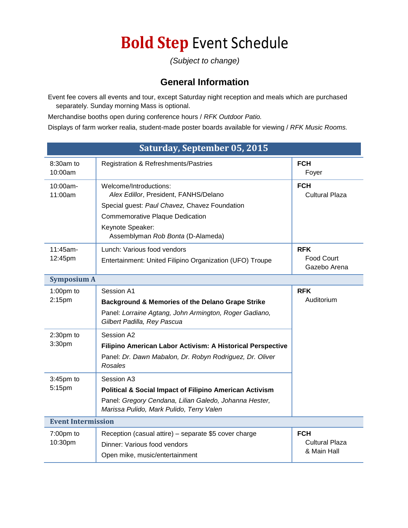## **Bold Step** Event Schedule

*(Subject to change)*

## **General Information**

Event fee covers all events and tour, except Saturday night reception and meals which are purchased separately. Sunday morning Mass is optional.

Merchandise booths open during conference hours / *RFK Outdoor Patio.*

Displays of farm worker realia, student-made poster boards available for viewing / *RFK Music Rooms.*

| Saturday, September 05, 2015 |                                                                                                    |                                     |  |
|------------------------------|----------------------------------------------------------------------------------------------------|-------------------------------------|--|
| 8:30am to<br>10:00am         | Registration & Refreshments/Pastries                                                               | <b>FCH</b><br>Foyer                 |  |
| 10:00am-<br>11:00am          | Welcome/Introductions:<br>Alex Edillor, President, FANHS/Delano                                    | <b>FCH</b><br><b>Cultural Plaza</b> |  |
|                              | Special guest: Paul Chavez, Chavez Foundation                                                      |                                     |  |
|                              | <b>Commemorative Plaque Dedication</b>                                                             |                                     |  |
|                              | Keynote Speaker:<br>Assemblyman Rob Bonta (D-Alameda)                                              |                                     |  |
| 11:45am-                     | Lunch: Various food vendors                                                                        | <b>RFK</b>                          |  |
| 12:45pm                      | Entertainment: United Filipino Organization (UFO) Troupe                                           | <b>Food Court</b><br>Gazebo Arena   |  |
| <b>Symposium A</b>           |                                                                                                    |                                     |  |
| $1:00$ pm to                 | Session A1                                                                                         | <b>RFK</b>                          |  |
| 2:15pm                       | Background & Memories of the Delano Grape Strike                                                   | Auditorium                          |  |
|                              | Panel: Lorraine Agtang, John Armington, Roger Gadiano,<br>Gilbert Padilla, Rey Pascua              |                                     |  |
| $2:30pm$ to<br>3:30pm        | Session A2                                                                                         |                                     |  |
|                              | Filipino American Labor Activism: A Historical Perspective                                         |                                     |  |
|                              | Panel: Dr. Dawn Mabalon, Dr. Robyn Rodriguez, Dr. Oliver<br>Rosales                                |                                     |  |
| 3:45pm to                    | Session A3                                                                                         |                                     |  |
| 5:15pm                       | <b>Political &amp; Social Impact of Filipino American Activism</b>                                 |                                     |  |
|                              | Panel: Gregory Cendana, Lilian Galedo, Johanna Hester,<br>Marissa Pulido, Mark Pulido, Terry Valen |                                     |  |
| <b>Event Intermission</b>    |                                                                                                    |                                     |  |
| $7:00$ pm to                 | Reception (casual attire) - separate \$5 cover charge                                              | <b>FCH</b>                          |  |
| 10:30pm                      | Dinner: Various food vendors                                                                       | Cultural Plaza                      |  |
|                              | Open mike, music/entertainment                                                                     | & Main Hall                         |  |